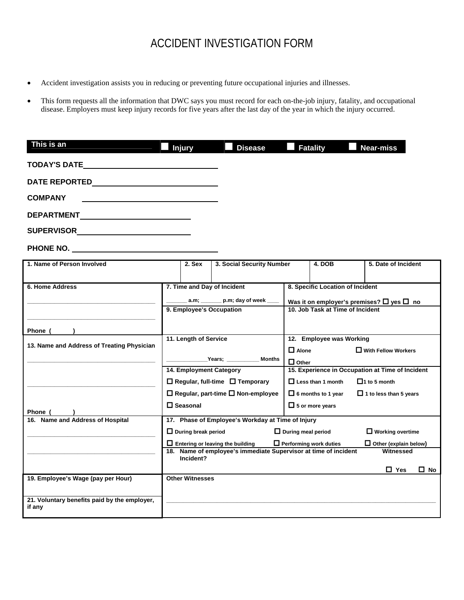## ACCIDENT INVESTIGATION FORM

- Accident investigation assists you in reducing or preventing future occupational injuries and illnesses.
- This form requests all the information that DWC says you must record for each on-the-job injury, fatality, and occupational disease. Employers must keep injury records for five years after the last day of the year in which the injury occurred.

| This is an                                                                                                                                                                                                                          | <b>Injury</b>                                                                                     | <b>Disease</b>                                                                     | <b>Fatality</b>                                  | <b>Near-miss</b>                                          |  |  |  |
|-------------------------------------------------------------------------------------------------------------------------------------------------------------------------------------------------------------------------------------|---------------------------------------------------------------------------------------------------|------------------------------------------------------------------------------------|--------------------------------------------------|-----------------------------------------------------------|--|--|--|
|                                                                                                                                                                                                                                     |                                                                                                   |                                                                                    |                                                  |                                                           |  |  |  |
| <b>DATE REPORTED</b>                                                                                                                                                                                                                |                                                                                                   |                                                                                    |                                                  |                                                           |  |  |  |
| COMPANY                                                                                                                                                                                                                             |                                                                                                   |                                                                                    |                                                  |                                                           |  |  |  |
| <b>DEPARTMENT</b>                                                                                                                                                                                                                   |                                                                                                   |                                                                                    |                                                  |                                                           |  |  |  |
| <b>SUPERVISOR Example 2008</b>                                                                                                                                                                                                      |                                                                                                   |                                                                                    |                                                  |                                                           |  |  |  |
| <b>PHONE NO.</b> The contract of the contract of the contract of the contract of the contract of the contract of the contract of the contract of the contract of the contract of the contract of the contract of the contract of th |                                                                                                   |                                                                                    |                                                  |                                                           |  |  |  |
| 1. Name of Person Involved                                                                                                                                                                                                          | $2.$ Sex                                                                                          | 3. Social Security Number                                                          | 4. DOB                                           | 5. Date of Incident                                       |  |  |  |
| 6. Home Address                                                                                                                                                                                                                     | 7. Time and Day of Incident                                                                       |                                                                                    |                                                  | 8. Specific Location of Incident                          |  |  |  |
|                                                                                                                                                                                                                                     |                                                                                                   | $a.m;$ $p.m;$ day of week                                                          |                                                  | Was it on employer's premises? $\square$ yes $\square$ no |  |  |  |
|                                                                                                                                                                                                                                     | 9. Employee's Occupation                                                                          |                                                                                    |                                                  | 10. Job Task at Time of Incident                          |  |  |  |
| Phone (                                                                                                                                                                                                                             |                                                                                                   |                                                                                    |                                                  |                                                           |  |  |  |
|                                                                                                                                                                                                                                     | 11. Length of Service                                                                             |                                                                                    |                                                  | 12. Employee was Working                                  |  |  |  |
| 13. Name and Address of Treating Physician                                                                                                                                                                                          |                                                                                                   |                                                                                    | $\Box$ Alone<br>$\Box$ With Fellow Workers       |                                                           |  |  |  |
|                                                                                                                                                                                                                                     |                                                                                                   | <b>Example 2018</b> Years;<br>Months                                               | $\Box$ Other                                     |                                                           |  |  |  |
|                                                                                                                                                                                                                                     | 14. Employment Category                                                                           |                                                                                    | 15. Experience in Occupation at Time of Incident |                                                           |  |  |  |
|                                                                                                                                                                                                                                     |                                                                                                   | $\Box$ Regular, full-time $\Box$ Temporary                                         | $\Box$ Less than 1 month                         | $\Box$ 1 to 5 month                                       |  |  |  |
|                                                                                                                                                                                                                                     |                                                                                                   | □ Regular, part-time □ Non-employee                                                | $\Box$ 6 months to 1 year                        | $\Box$ 1 to less than 5 years                             |  |  |  |
| Phone (                                                                                                                                                                                                                             | $\square$ Seasonal                                                                                |                                                                                    | $\Box$ 5 or more years                           |                                                           |  |  |  |
| 16. Name and Address of Hospital                                                                                                                                                                                                    |                                                                                                   | 17. Phase of Employee's Workday at Time of Injury                                  |                                                  |                                                           |  |  |  |
|                                                                                                                                                                                                                                     |                                                                                                   | $\Box$ During meal period<br>$\Box$ During break period<br>$\Box$ Working overtime |                                                  |                                                           |  |  |  |
|                                                                                                                                                                                                                                     | Performing work duties<br>$\Box$ Entering or leaving the building<br>$\Box$ Other (explain below) |                                                                                    |                                                  |                                                           |  |  |  |
|                                                                                                                                                                                                                                     | Name of employee's immediate Supervisor at time of incident<br>Witnessed<br>18.<br>Incident?      |                                                                                    |                                                  |                                                           |  |  |  |
|                                                                                                                                                                                                                                     |                                                                                                   |                                                                                    |                                                  | $\Box$ Yes<br>$\square$ No                                |  |  |  |
| 19. Employee's Wage (pay per Hour)                                                                                                                                                                                                  | <b>Other Witnesses</b>                                                                            |                                                                                    |                                                  |                                                           |  |  |  |
|                                                                                                                                                                                                                                     |                                                                                                   |                                                                                    |                                                  |                                                           |  |  |  |
| 21. Voluntary benefits paid by the employer,<br>if any                                                                                                                                                                              |                                                                                                   |                                                                                    |                                                  |                                                           |  |  |  |